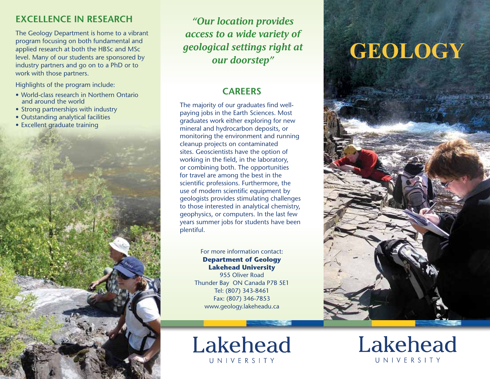## **Excellence in Research**

The Geology Department is home to a vibrant program focusing on both fundamental and applied research at both the HBSc and MSc level. Many of our students are sponsored by industry partners and go on to a PhD or to work with those partners.

Highlights of the program include:

- • World-class research in Northern Ontario and around the world
- Strong partnerships with industry
- Outstanding analytical facilities
- Excellent graduate training



*"Our location provides access to a wide variety of geological settings right at our doorstep"*

## **CAREERS**

The majority of our graduates find wellpaying jobs in the Earth Sciences. Most graduates work either exploring for new mineral and hydrocarbon deposits, or monitoring the environment and running cleanup projects on contaminated sites. Geoscientists have the option of working in the field, in the laboratory, or combining both. The opportunities for travel are among the best in the scientific professions. Furthermore, the use of modern scientific equipment by geologists provides stimulating challenges to those interested in analytical chemistry, geophysics, or computers. In the last few years summer jobs for students have been plentiful.

## For more information contact: **Department of Geology Lakehead University**

955 Oliver Road Thunder Bay ON Canada P7B 5E1 Tel: (807) 343-8461 Fax: (807) 346-7853 www.geology.lakeheadu.ca



## **GEOLOGY**



Lakehead UNIVERSITY